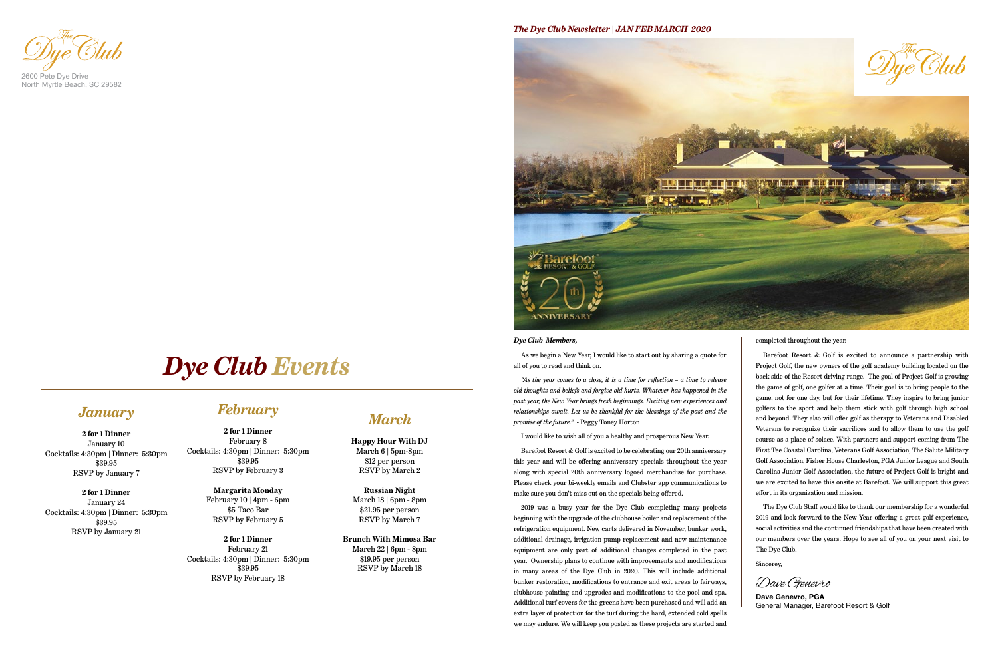### *The Dye Club Newsletter | JAN FEB MARCH 2020*



*Dye Club Members,*

As we begin a New Year, I would like to start out by sharing a quote for all of you to read and think on.

*"As the year comes to a close, it is a time for reflection – a time to release old thoughts and beliefs and forgive old hurts. Whatever has happened in the past year, the New Year brings fresh beginnings. Exciting new experiences and relationships await. Let us be thankful for the blessings of the past and the promise of the future."* - Peggy Toney Horton

I would like to wish all of you a healthy and prosperous New Year.

Barefoot Resort & Golf is excited to be celebrating our 20th anniversary this year and will be offering anniversary specials throughout the year along with special 20th anniversary logoed merchandise for purchase. Please check your bi-weekly emails and Clubster app communications to make sure you don't miss out on the specials being offered.

2019 was a busy year for the Dye Club completing many projects beginning with the upgrade of the clubhouse boiler and replacement of the refrigeration equipment. New carts delivered in November, bunker work, additional drainage, irrigation pump replacement and new maintenance equipment are only part of additional changes completed in the past year. Ownership plans to continue with improvements and modifications in many areas of the Dye Club in 2020. This will include additional bunker restoration, modifications to entrance and exit areas to fairways, clubhouse painting and upgrades and modifications to the pool and spa. Additional turf covers for the greens have been purchased and will add an extra layer of protection for the turf during the hard, extended cold spells we may endure. We will keep you posted as these projects are started and

completed throughout the year.

Barefoot Resort & Golf is excited to announce a partnership with Project Golf, the new owners of the golf academy building located on the back side of the Resort driving range. The goal of Project Golf is growing the game of golf, one golfer at a time. Their goal is to bring people to the game, not for one day, but for their lifetime. They inspire to bring junior golfers to the sport and help them stick with golf through high school and beyond. They also will offer golf as therapy to Veterans and Disabled Veterans to recognize their sacrifices and to allow them to use the golf course as a place of solace. With partners and support coming from The First Tee Coastal Carolina, Veterans Golf Association, The Salute Military Golf Association, Fisher House Charleston, PGA Junior League and South Carolina Junior Golf Association, the future of Project Golf is bright and we are excited to have this onsite at Barefoot. We will support this great effort in its organization and mission.

The Dye Club Staff would like to thank our membership for a wonderful 2019 and look forward to the New Year offering a great golf experience, social activities and the continued friendships that have been created with our members over the years. Hope to see all of you on your next visit to The Dye Club.

Sincerey,

2600 Pete Dye Drive North Myrtle Beach, SC 29582

**Dave Genevro, PGA** General Manager, Barefoot Resort & Golf

Dave Genevro

### *January*

#### **2 for 1 Dinner** January 10 Cocktails: 4:30pm | Dinner: 5:30pm \$39.95

RSVP by January 7

**2 for 1 Dinner** January 24 Cocktails: 4:30pm | Dinner: 5:30pm \$39.95 RSVP by January 21

## *February*

**2 for 1 Dinner** February 8 Cocktails: 4:30pm | Dinner: 5:30pm \$39.95 RSVP by February 3

#### **Margarita Monday** February 10 | 4pm - 6pm \$5 Taco Bar RSVP by February 5

**2 for 1 Dinner** February 21 Cocktails: 4:30pm | Dinner: 5:30pm \$39.95 RSVP by February 18

*March*

**Happy Hour With DJ** March 6 | 5pm-8pm \$12 per person RSVP by March 2

**Russian Night** March 18 | 6pm - 8pm \$21.95 per person RSVP by March 7

**Brunch With Mimosa Bar** March 22 | 6pm - 8pm \$19.95 per person RSVP by March 18

## *Dye Club Events*